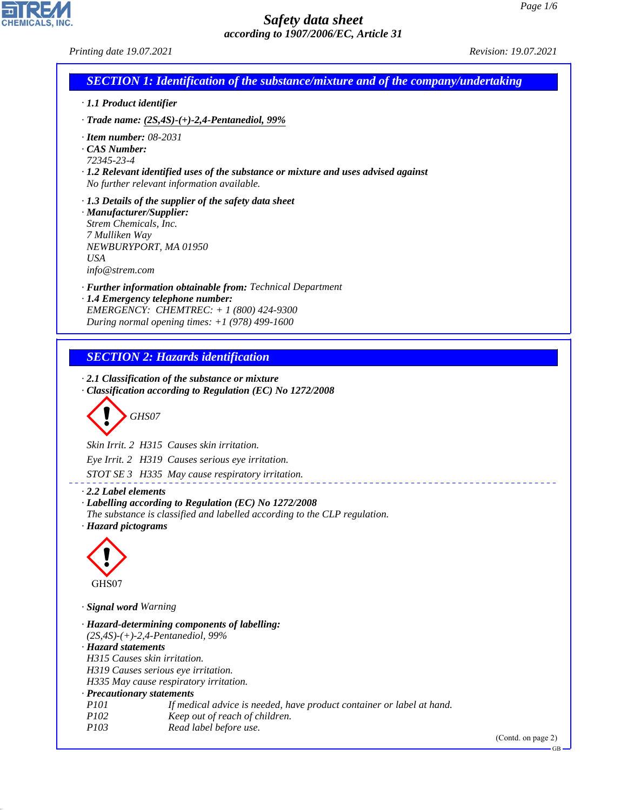٦

## *Safety data sheet according to 1907/2006/EC, Article 31*

*Printing date 19.07.2021 Revision: 19.07.2021*

CHEMICALS, INC.

44.1.1

| · 1.1 Product identifier                    |                                                                                                         |
|---------------------------------------------|---------------------------------------------------------------------------------------------------------|
|                                             | $\cdot$ Trade name: (2S,4S)-(+)-2,4-Pentanediol, 99%                                                    |
|                                             |                                                                                                         |
| $\cdot$ Item number: 08-2031<br>CAS Number: |                                                                                                         |
| 72345-23-4                                  |                                                                                                         |
|                                             | $\cdot$ 1.2 Relevant identified uses of the substance or mixture and uses advised against               |
|                                             | No further relevant information available.                                                              |
|                                             | $\cdot$ 1.3 Details of the supplier of the safety data sheet                                            |
| · Manufacturer/Supplier:                    |                                                                                                         |
| Strem Chemicals, Inc.                       |                                                                                                         |
| 7 Mulliken Way                              | NEWBURYPORT, MA 01950                                                                                   |
| <b>USA</b>                                  |                                                                                                         |
| info@strem.com                              |                                                                                                         |
|                                             | · Further information obtainable from: Technical Department                                             |
|                                             | · 1.4 Emergency telephone number:                                                                       |
|                                             | EMERGENCY: CHEMTREC: $+ 1 (800) 424 - 9300$                                                             |
|                                             | During normal opening times: $+1$ (978) 499-1600                                                        |
|                                             |                                                                                                         |
|                                             | <b>SECTION 2: Hazards identification</b>                                                                |
|                                             |                                                                                                         |
|                                             | $\cdot$ 2.1 Classification of the substance or mixture                                                  |
|                                             | · Classification according to Regulation (EC) No 1272/2008                                              |
|                                             |                                                                                                         |
|                                             | GHS07                                                                                                   |
|                                             |                                                                                                         |
|                                             | Skin Irrit. 2 H315 Causes skin irritation.                                                              |
|                                             | Eye Irrit. 2 H319 Causes serious eye irritation.                                                        |
|                                             | STOT SE 3 H335 May cause respiratory irritation.                                                        |
| 2.2 Label elements                          |                                                                                                         |
|                                             | · Labelling according to Regulation (EC) No 1272/2008                                                   |
|                                             | The substance is classified and labelled according to the CLP regulation.                               |
| · Hazard pictograms                         |                                                                                                         |
|                                             |                                                                                                         |
|                                             |                                                                                                         |
|                                             |                                                                                                         |
| GHS07                                       |                                                                                                         |
|                                             |                                                                                                         |
|                                             | · Hazard-determining components of labelling:                                                           |
| · Signal word Warning                       |                                                                                                         |
|                                             | $(2S, 4S)$ -(+)-2,4-Pentanediol, 99%                                                                    |
| · Hazard statements                         |                                                                                                         |
|                                             | H315 Causes skin irritation.                                                                            |
|                                             | H319 Causes serious eye irritation.                                                                     |
|                                             | H335 May cause respiratory irritation.                                                                  |
| · Precautionary statements                  |                                                                                                         |
| <i>P101</i><br><i>P102</i>                  | If medical advice is needed, have product container or label at hand.<br>Keep out of reach of children. |
| P103                                        | Read label before use.                                                                                  |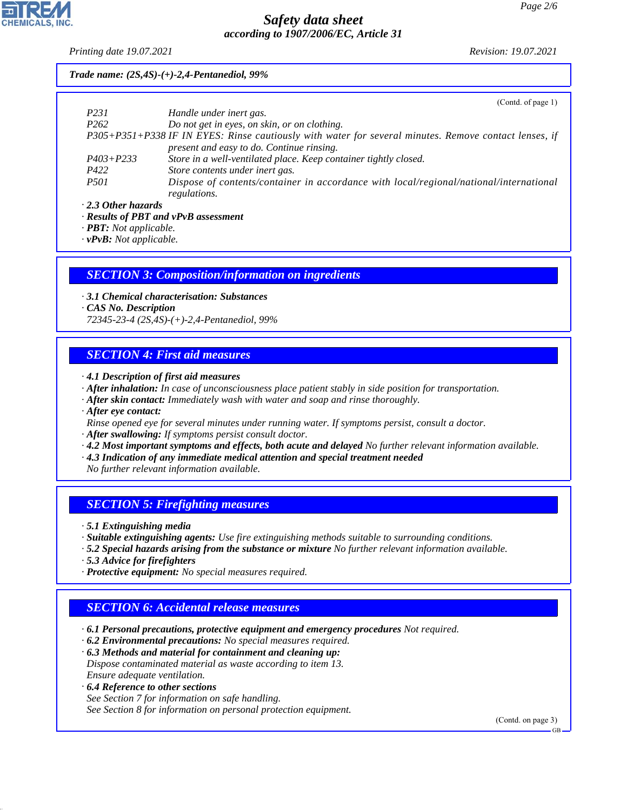*Printing date 19.07.2021 Revision: 19.07.2021*

#### *Trade name: (2S,4S)-(+)-2,4-Pentanediol, 99%*

|                           | (Contd. of page 1)                                                                                    |
|---------------------------|-------------------------------------------------------------------------------------------------------|
| P <sub>231</sub>          | Handle under inert gas.                                                                               |
| P <sub>262</sub>          | Do not get in eyes, on skin, or on clothing.                                                          |
|                           | P305+P351+P338 IF IN EYES: Rinse cautiously with water for several minutes. Remove contact lenses, if |
|                           | present and easy to do. Continue rinsing.                                                             |
| $P403 + P233$             | Store in a well-ventilated place. Keep container tightly closed.                                      |
| P422                      | Store contents under inert gas.                                                                       |
| <i>P501</i>               | Dispose of contents/container in accordance with local/regional/national/international                |
|                           | regulations.                                                                                          |
| $\cdot$ 2.3 Other hazards |                                                                                                       |

*· Results of PBT and vPvB assessment*

*· PBT: Not applicable.*

*· vPvB: Not applicable.*

#### *SECTION 3: Composition/information on ingredients*

*· 3.1 Chemical characterisation: Substances*

*· CAS No. Description*

*72345-23-4 (2S,4S)-(+)-2,4-Pentanediol, 99%*

## *SECTION 4: First aid measures*

- *· 4.1 Description of first aid measures*
- *· After inhalation: In case of unconsciousness place patient stably in side position for transportation.*
- *· After skin contact: Immediately wash with water and soap and rinse thoroughly.*

*· After eye contact:*

- *Rinse opened eye for several minutes under running water. If symptoms persist, consult a doctor.*
- *· After swallowing: If symptoms persist consult doctor.*
- *· 4.2 Most important symptoms and effects, both acute and delayed No further relevant information available.*
- *· 4.3 Indication of any immediate medical attention and special treatment needed*

*No further relevant information available.*

## *SECTION 5: Firefighting measures*

*· 5.1 Extinguishing media*

- *· Suitable extinguishing agents: Use fire extinguishing methods suitable to surrounding conditions.*
- *· 5.2 Special hazards arising from the substance or mixture No further relevant information available.*
- *· 5.3 Advice for firefighters*

44.1.1

*· Protective equipment: No special measures required.*

## *SECTION 6: Accidental release measures*

- *· 6.1 Personal precautions, protective equipment and emergency procedures Not required.*
- *· 6.2 Environmental precautions: No special measures required.*
- *· 6.3 Methods and material for containment and cleaning up: Dispose contaminated material as waste according to item 13. Ensure adequate ventilation.*
- *· 6.4 Reference to other sections See Section 7 for information on safe handling. See Section 8 for information on personal protection equipment.*

(Contd. on page 3)

GB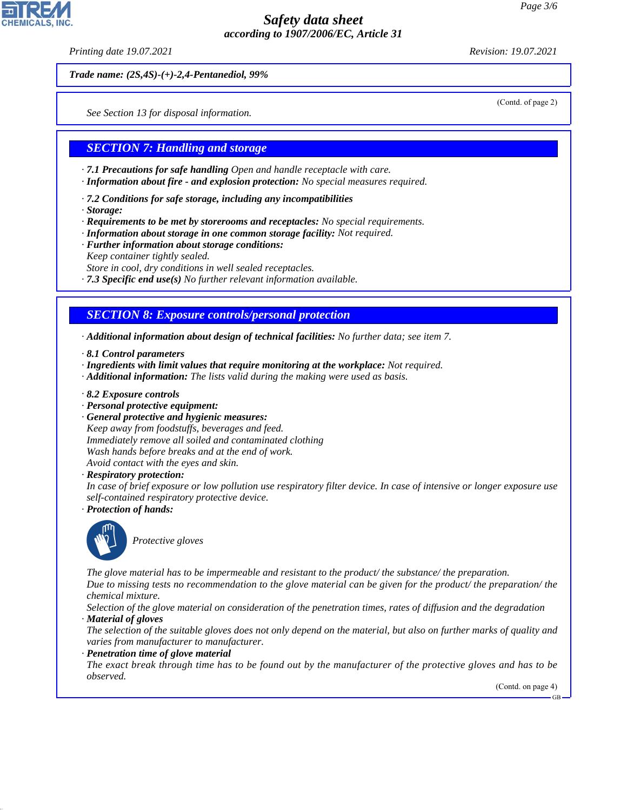*Printing date 19.07.2021 Revision: 19.07.2021*

(Contd. of page 2)

*Trade name: (2S,4S)-(+)-2,4-Pentanediol, 99%*

*See Section 13 for disposal information.*

#### *SECTION 7: Handling and storage*

- *· 7.1 Precautions for safe handling Open and handle receptacle with care.*
- *· Information about fire and explosion protection: No special measures required.*
- *· 7.2 Conditions for safe storage, including any incompatibilities*
- *· Storage:*
- *· Requirements to be met by storerooms and receptacles: No special requirements.*
- *· Information about storage in one common storage facility: Not required.*
- *· Further information about storage conditions: Keep container tightly sealed. Store in cool, dry conditions in well sealed receptacles.*
- *· 7.3 Specific end use(s) No further relevant information available.*

## *SECTION 8: Exposure controls/personal protection*

- *· Additional information about design of technical facilities: No further data; see item 7.*
- *· 8.1 Control parameters*
- *· Ingredients with limit values that require monitoring at the workplace: Not required.*
- *· Additional information: The lists valid during the making were used as basis.*
- *· 8.2 Exposure controls*
- *· Personal protective equipment:*
- *· General protective and hygienic measures:*

*Keep away from foodstuffs, beverages and feed. Immediately remove all soiled and contaminated clothing Wash hands before breaks and at the end of work. Avoid contact with the eyes and skin.*

*· Respiratory protection:*

*In case of brief exposure or low pollution use respiratory filter device. In case of intensive or longer exposure use self-contained respiratory protective device.*

*· Protection of hands:*



44.1.1

\_S*Protective gloves*

*The glove material has to be impermeable and resistant to the product/ the substance/ the preparation. Due to missing tests no recommendation to the glove material can be given for the product/ the preparation/ the chemical mixture.*

*Selection of the glove material on consideration of the penetration times, rates of diffusion and the degradation · Material of gloves*

*The selection of the suitable gloves does not only depend on the material, but also on further marks of quality and varies from manufacturer to manufacturer.*

*· Penetration time of glove material*

*The exact break through time has to be found out by the manufacturer of the protective gloves and has to be observed.*

(Contd. on page 4)

GB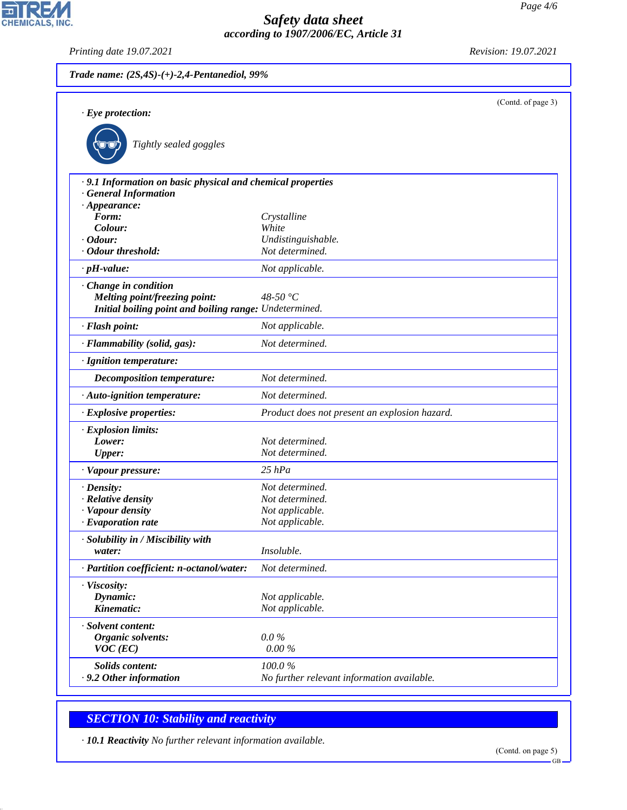(Contd. of page 3) *· Eye protection:* \_R*Tightly sealed goggles · 9.1 Information on basic physical and chemical properties · General Information · Appearance: Form: Crystalline Colour: White · Odour: Undistinguishable. · Odour threshold: Not determined. · pH-value: Not applicable. · Change in condition Melting point/freezing point: 48-50 °C Initial boiling point and boiling range: Undetermined. · Flash point: Not applicable. · Flammability (solid, gas): Not determined. · Ignition temperature: Decomposition temperature: Not determined. · Auto-ignition temperature: Not determined. · Explosive properties: Product does not present an explosion hazard. · Explosion limits: Lower: Not determined. Upper: Not determined. · Vapour pressure: 25 hPa · Density: Not determined. · Relative density Not determined. · Vapour density Not applicable. · Evaporation rate Not applicable. · Solubility in / Miscibility with water: Insoluble. · Partition coefficient: n-octanol/water: Not determined.*

*· Viscosity: Dynamic: Not applicable. Kinematic: Not applicable. · Solvent content: Organic solvents: 0.0 % VOC (EC) 0.00 % Solids content: 100.0 % · 9.2 Other information No further relevant information available.*

## *SECTION 10: Stability and reactivity*

*· 10.1 Reactivity No further relevant information available.*

GB



44.1.1

*Trade name: (2S,4S)-(+)-2,4-Pentanediol, 99%*

*Printing date 19.07.2021 Revision: 19.07.2021*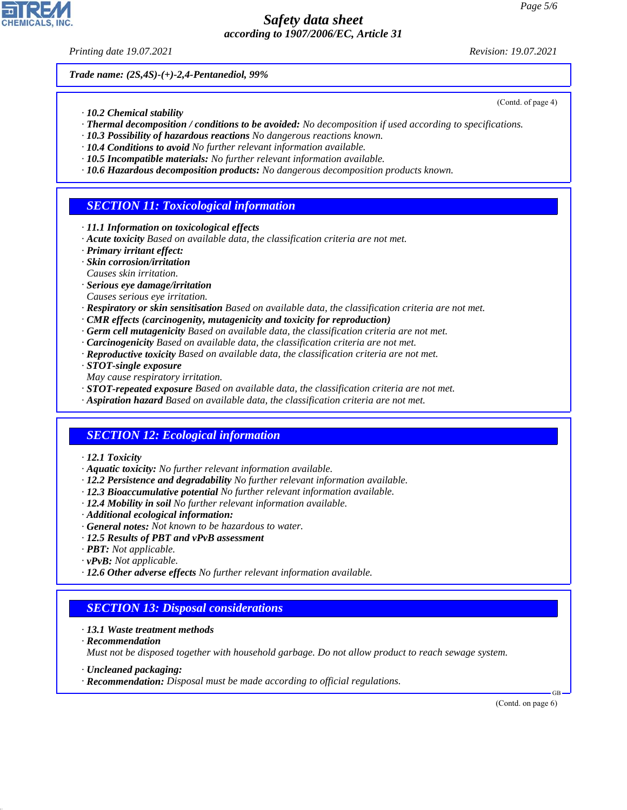*Printing date 19.07.2021 Revision: 19.07.2021*

(Contd. of page 4)

*Trade name: (2S,4S)-(+)-2,4-Pentanediol, 99%*

- *· 10.2 Chemical stability*
- *· Thermal decomposition / conditions to be avoided: No decomposition if used according to specifications.*
- *· 10.3 Possibility of hazardous reactions No dangerous reactions known.*
- *· 10.4 Conditions to avoid No further relevant information available.*
- *· 10.5 Incompatible materials: No further relevant information available.*
- *· 10.6 Hazardous decomposition products: No dangerous decomposition products known.*

## *SECTION 11: Toxicological information*

- *· 11.1 Information on toxicological effects*
- *· Acute toxicity Based on available data, the classification criteria are not met.*
- *· Primary irritant effect:*
- *· Skin corrosion/irritation*
- *Causes skin irritation.*
- *· Serious eye damage/irritation*
- *Causes serious eye irritation.*
- *· Respiratory or skin sensitisation Based on available data, the classification criteria are not met.*
- *· CMR effects (carcinogenity, mutagenicity and toxicity for reproduction)*
- *· Germ cell mutagenicity Based on available data, the classification criteria are not met.*
- *· Carcinogenicity Based on available data, the classification criteria are not met.*
- *· Reproductive toxicity Based on available data, the classification criteria are not met.*
- *· STOT-single exposure*
- *May cause respiratory irritation.*
- *· STOT-repeated exposure Based on available data, the classification criteria are not met.*
- *· Aspiration hazard Based on available data, the classification criteria are not met.*

## *SECTION 12: Ecological information*

- *· 12.1 Toxicity*
- *· Aquatic toxicity: No further relevant information available.*
- *· 12.2 Persistence and degradability No further relevant information available.*
- *· 12.3 Bioaccumulative potential No further relevant information available.*
- *· 12.4 Mobility in soil No further relevant information available.*
- *· Additional ecological information:*
- *· General notes: Not known to be hazardous to water.*
- *· 12.5 Results of PBT and vPvB assessment*
- *· PBT: Not applicable.*
- *· vPvB: Not applicable.*
- *· 12.6 Other adverse effects No further relevant information available.*

## *SECTION 13: Disposal considerations*

- *· 13.1 Waste treatment methods*
- *· Recommendation*

44.1.1

*Must not be disposed together with household garbage. Do not allow product to reach sewage system.*

- *· Uncleaned packaging:*
- *· Recommendation: Disposal must be made according to official regulations.*

(Contd. on page 6)

GB